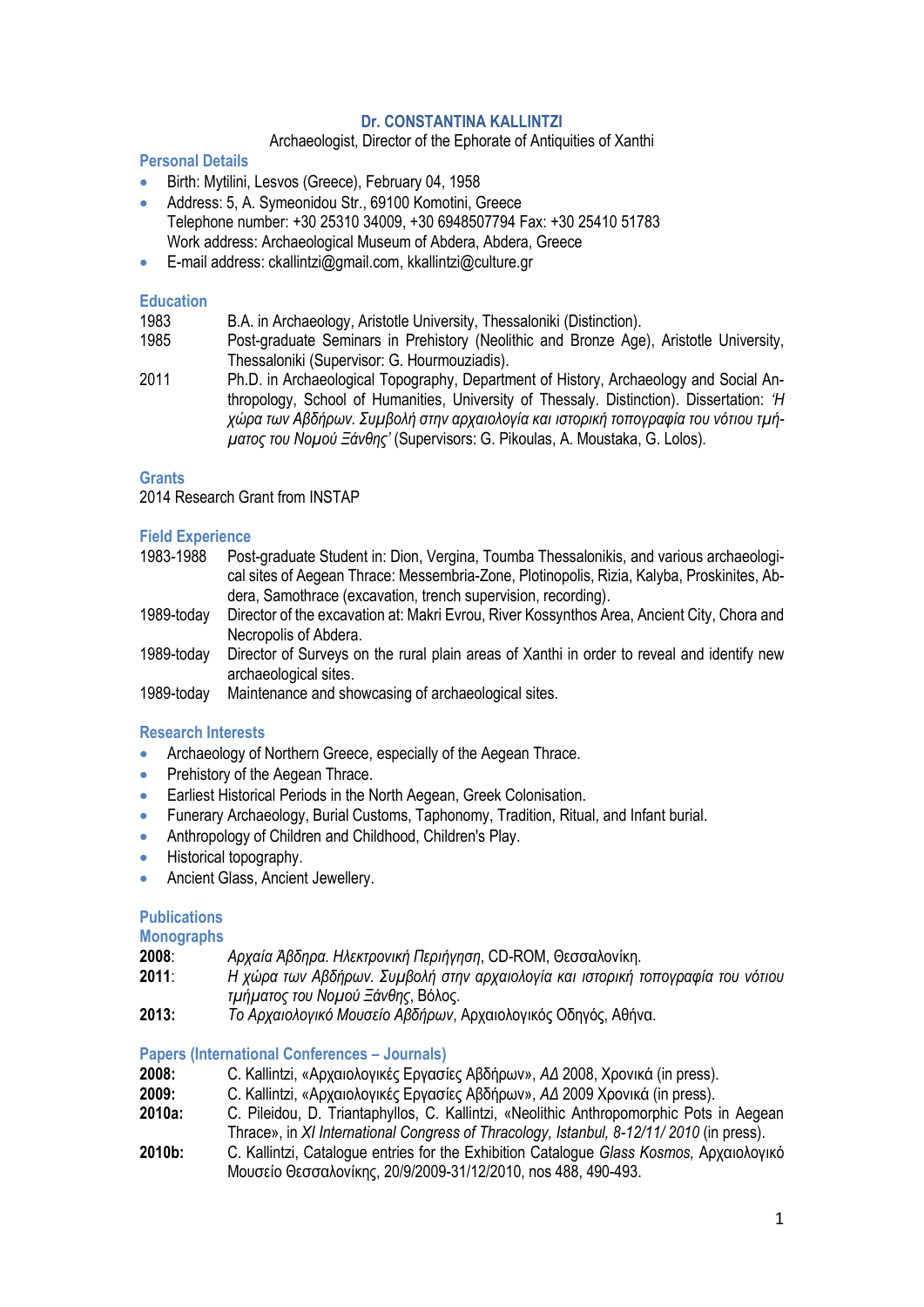# **Dr. CONSTANTINA KALLINTZI**

# Archaeologist, Director of the Ephorate of Antiquities of Xanthi

# **Personal Details**

- Birth: Mytilini, Lesvos (Greece), February 04, 1958
- Address: 5, A. Symeonidou Str., 69100 Komotini, Greece Telephone number: +30 25310 34009, +30 6948507794 Fax: +30 25410 51783 Work address: Archaeological Museum of Abdera, Abdera, Greece
- E-mail address: ckallintzi@gmail.com, kkallintzi@culture.gr

### **Education**

| 1983 | B.A. in Archaeology, Aristotle University, Thessaloniki (Distinction). |  |  |  |  |
|------|------------------------------------------------------------------------|--|--|--|--|
|------|------------------------------------------------------------------------|--|--|--|--|

- 1985 Post-graduate Seminars in Prehistory (Neolithic and Bronze Age), Aristotle University, Thessaloniki (Supervisor: G. Hourmouziadis).
- 2011 Ph.D. in Archaeological Topography, Department of History, Archaeology and Social Anthropology, School of Humanities, University of Thessaly. Distinction). Dissertation: *'Η χώρα των Αβδήρων. Συμβολή στην αρχαιολογία και ιστορική τοπογραφία του νότιου τμήματος του Νομού Ξάνθης'* (Supervisors: G. Pikoulas, A. Moustaka, G. Lolos).

#### **Grants**

2014 Research Grant from INSTAP

# **Field Experience**

- 1983-1988 Post-graduate Student in: Dion, Vergina, Toumba Thessalonikis, and various archaeological sites of Aegean Thrace: Messembria-Zone, Plotinopolis, Rizia, Kalyba, Proskinites, Abdera, Samothrace (excavation, trench supervision, recording).
- 1989-today Director of the excavation at: Makri Evrou, River Kossynthos Area, Ancient City, Chora and Necropolis of Abdera.
- 1989-today Director of Surveys on the rural plain areas of Xanthi in order to reveal and identify new archaeological sites.
- 1989-today Maintenance and showcasing of archaeological sites.

# **Research Interests**

- Archaeology of Northern Greece, especially of the Aegean Thrace.
- Prehistory of the Aegean Thrace.
- **Earliest Historical Periods in the North Aegean, Greek Colonisation.**
- Funerary Archaeology, Burial Customs, Taphonomy, Tradition, Ritual, and Infant burial.
- Anthropology of Children and Childhood, Children's Play.
- Historical topography.
- **Ancient Glass, Ancient Jewellery.**

# **Publications**

**Monographs**

- **2008**: *Αρχαία Άβδηρα. Ηλεκτρονική Περιήγηση*, CD-ROM, Θεσσαλονίκη.
- **2011**: *Η χώρα των Αβδήρων. Συμβολή στην αρχαιολογία και ιστορική τοπογραφία του νότιου τμήματος του Νομού Ξάνθης*, Βόλος.
- **2013:** *Το Αρχαιολογικό Μουσείο Αβδήρων*, Αρχαιολογικός Οδηγός, Αθήνα.

# **Papers (International Conferences – Journals)**

- **2008:** C. Kallintzi, «Αρχαιολογικές Εργασίες Αβδήρων», *ΑΔ* 2008, Χρονικά (in press).
- **2009:** C. Kallintzi, «Αρχαιολογικές Εργασίες Αβδήρων», *ΑΔ* 2009 Χρονικά (in press).
- **2010a:** C. Pileidou, D. Triantaphyllos, C. Kallintzi, «Neolithic Anthropomorphic Pots in Aegean Thrace», in *XI International Congress of Thracology, Istanbul, 8-12/11/ 2010* (in press).
- **2010b:** C. Kallintzi, Catalogue entries for the Exhibition Catalogue *Glass Kosmos,* Αρχαιολογικό Μουσείο Θεσσαλονίκης, 20/9/2009-31/12/2010, nos 488, 490-493.